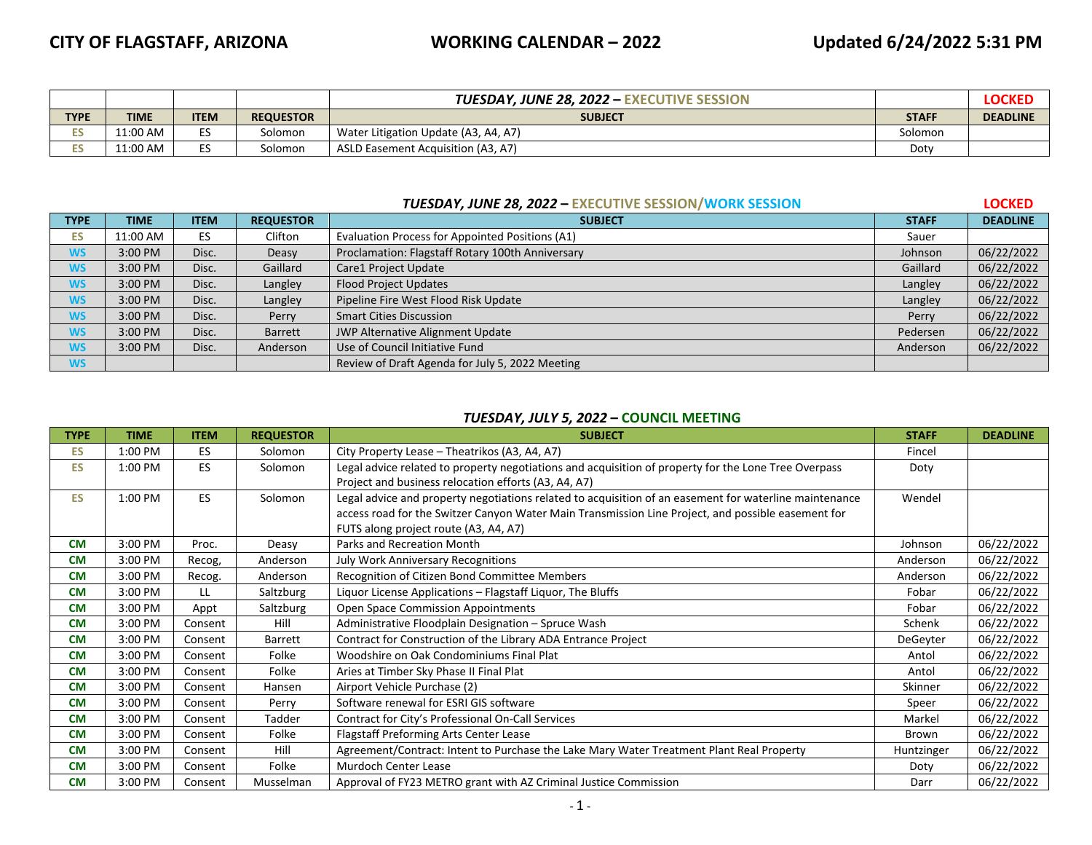|             |             |             |                  | <b>TUESDAY, JUNE 28, 2022 - EXECUTIVE SESSION</b> |              | <b>LOCKED</b>   |
|-------------|-------------|-------------|------------------|---------------------------------------------------|--------------|-----------------|
| <b>TYPE</b> | <b>TIME</b> | <b>ITEM</b> | <b>REQUESTOR</b> | <b>SUBJECT</b>                                    | <b>STAFF</b> | <b>DEADLINE</b> |
| œ           | 11:00 AM    | $ -$<br>◡   | Solomon          | Water Litigation Update (A3, A4, A7)              | Solomon      |                 |
| ╍           | 11:00 AM    | --<br>◡     | Solomon          | ASLD Easement Acquisition (A3, A7)                | Doty         |                 |

## *TUESDAY, JUNE 28, 2022*  **– EXECUTIVE SESSION/WORK SESSION LOCKED**

| <b>TYPE</b> | <b>TIME</b> | <b>ITEM</b> | <b>REQUESTOR</b> | <b>SUBJECT</b>                                   | <b>STAFF</b> | <b>DEADLINE</b> |
|-------------|-------------|-------------|------------------|--------------------------------------------------|--------------|-----------------|
| ES          | 11:00 AM    | ES          | Clifton          | Evaluation Process for Appointed Positions (A1)  | Sauer        |                 |
| <b>WS</b>   | 3:00 PM     | Disc.       | Deasy            | Proclamation: Flagstaff Rotary 100th Anniversary | Johnson      | 06/22/2022      |
| <b>WS</b>   | 3:00 PM     | Disc.       | Gaillard         | Care1 Project Update                             | Gaillard     | 06/22/2022      |
| <b>WS</b>   | 3:00 PM     | Disc.       | Langley          | <b>Flood Project Updates</b>                     | Langley      | 06/22/2022      |
| <b>WS</b>   | 3:00 PM     | Disc.       | Langley          | Pipeline Fire West Flood Risk Update             | Langley      | 06/22/2022      |
| <b>WS</b>   | 3:00 PM     | Disc.       | Perry            | <b>Smart Cities Discussion</b>                   | Perry        | 06/22/2022      |
| <b>WS</b>   | 3:00 PM     | Disc.       | <b>Barrett</b>   | JWP Alternative Alignment Update                 | Pedersen     | 06/22/2022      |
| <b>WS</b>   | 3:00 PM     | Disc.       | Anderson         | Use of Council Initiative Fund                   | Anderson     | 06/22/2022      |
| <b>WS</b>   |             |             |                  | Review of Draft Agenda for July 5, 2022 Meeting  |              |                 |

## *TUESDAY, JULY 5, 2022* **– COUNCIL MEETING**

| <b>TYPE</b> | <b>TIME</b> | <b>ITEM</b> | <b>REQUESTOR</b> | <b>SUBJECT</b>                                                                                         | <b>STAFF</b> | <b>DEADLINE</b> |
|-------------|-------------|-------------|------------------|--------------------------------------------------------------------------------------------------------|--------------|-----------------|
| <b>ES</b>   | 1:00 PM     | ES          | Solomon          | City Property Lease - Theatrikos (A3, A4, A7)                                                          | Fincel       |                 |
| <b>ES</b>   | 1:00 PM     | <b>ES</b>   | Solomon          | Legal advice related to property negotiations and acquisition of property for the Lone Tree Overpass   | Doty         |                 |
|             |             |             |                  | Project and business relocation efforts (A3, A4, A7)                                                   |              |                 |
| <b>ES</b>   | 1:00 PM     | <b>ES</b>   | Solomon          | Legal advice and property negotiations related to acquisition of an easement for waterline maintenance | Wendel       |                 |
|             |             |             |                  | access road for the Switzer Canyon Water Main Transmission Line Project, and possible easement for     |              |                 |
|             |             |             |                  | FUTS along project route (A3, A4, A7)                                                                  |              |                 |
| <b>CM</b>   | 3:00 PM     | Proc.       | Deasy            | Parks and Recreation Month                                                                             | Johnson      | 06/22/2022      |
| <b>CM</b>   | 3:00 PM     | Recog,      | Anderson         | <b>July Work Anniversary Recognitions</b>                                                              | Anderson     | 06/22/2022      |
| <b>CM</b>   | 3:00 PM     | Recog.      | Anderson         | Recognition of Citizen Bond Committee Members                                                          | Anderson     | 06/22/2022      |
| <b>CM</b>   | 3:00 PM     | LL          | Saltzburg        | Liquor License Applications - Flagstaff Liquor, The Bluffs                                             | Fobar        | 06/22/2022      |
| <b>CM</b>   | 3:00 PM     | Appt        | Saltzburg        | <b>Open Space Commission Appointments</b>                                                              | Fobar        | 06/22/2022      |
| <b>CM</b>   | 3:00 PM     | Consent     | Hill             | Administrative Floodplain Designation - Spruce Wash                                                    | Schenk       | 06/22/2022      |
| <b>CM</b>   | 3:00 PM     | Consent     | <b>Barrett</b>   | Contract for Construction of the Library ADA Entrance Project                                          | DeGeyter     | 06/22/2022      |
| <b>CM</b>   | 3:00 PM     | Consent     | Folke            | Woodshire on Oak Condominiums Final Plat                                                               | Antol        | 06/22/2022      |
| <b>CM</b>   | 3:00 PM     | Consent     | Folke            | Aries at Timber Sky Phase II Final Plat                                                                | Antol        | 06/22/2022      |
| <b>CM</b>   | 3:00 PM     | Consent     | Hansen           | Airport Vehicle Purchase (2)                                                                           | Skinner      | 06/22/2022      |
| <b>CM</b>   | 3:00 PM     | Consent     | Perry            | Software renewal for ESRI GIS software                                                                 | Speer        | 06/22/2022      |
| <b>CM</b>   | 3:00 PM     | Consent     | Tadder           | Contract for City's Professional On-Call Services                                                      | Markel       | 06/22/2022      |
| <b>CM</b>   | 3:00 PM     | Consent     | Folke            | Flagstaff Preforming Arts Center Lease                                                                 | Brown        | 06/22/2022      |
| <b>CM</b>   | 3:00 PM     | Consent     | Hill             | Agreement/Contract: Intent to Purchase the Lake Mary Water Treatment Plant Real Property               | Huntzinger   | 06/22/2022      |
| <b>CM</b>   | 3:00 PM     | Consent     | Folke            | Murdoch Center Lease                                                                                   | Doty         | 06/22/2022      |
| <b>CM</b>   | 3:00 PM     | Consent     | Musselman        | Approval of FY23 METRO grant with AZ Criminal Justice Commission                                       | Darr         | 06/22/2022      |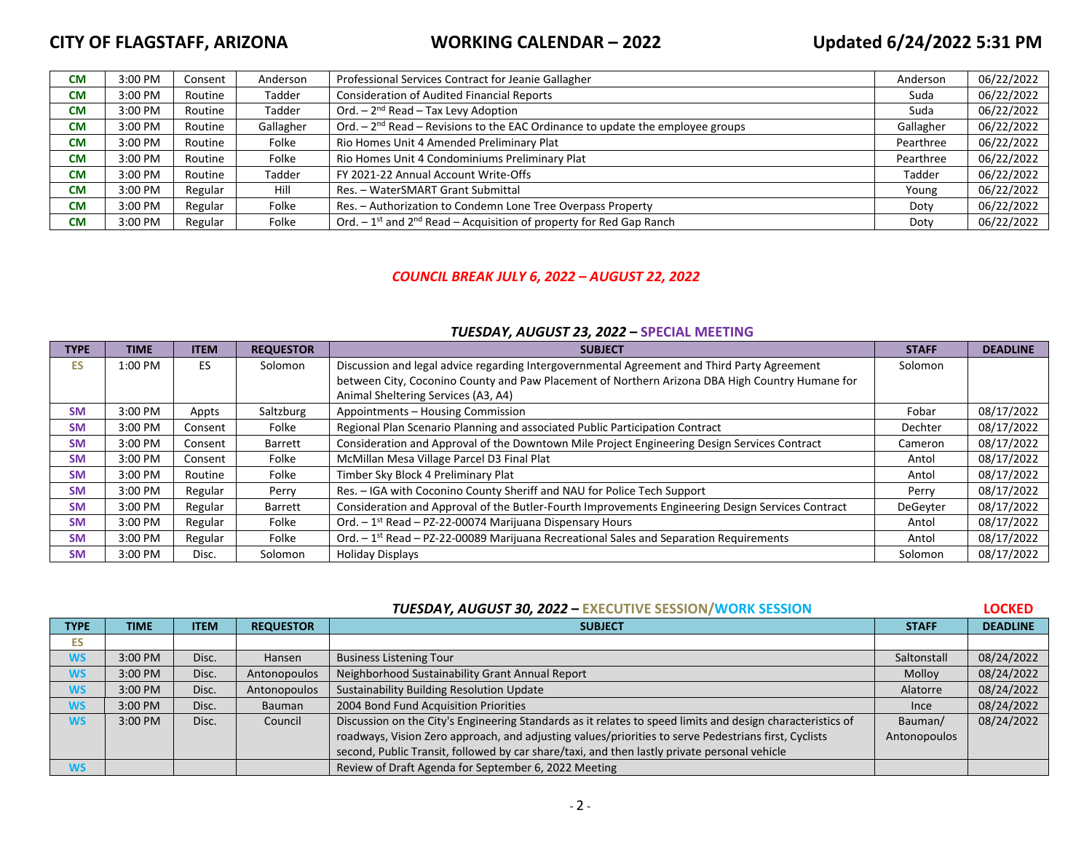# **CITY OF FLAGSTAFF, ARIZONA WORKING CALENDAR – 2022 Updated 6/24/2022 5:31 PM**

| <b>CM</b> | 3:00 PM | Consent | Anderson  | Professional Services Contract for Jeanie Gallagher                                | Anderson  | 06/22/2022 |
|-----------|---------|---------|-----------|------------------------------------------------------------------------------------|-----------|------------|
| <b>CM</b> | 3:00 PM | Routine | Tadder    | <b>Consideration of Audited Financial Reports</b>                                  | Suda      | 06/22/2022 |
| <b>CM</b> | 3:00 PM | Routine | Tadder    | Ord. $-2^{nd}$ Read $-$ Tax Levy Adoption                                          | Suda      | 06/22/2022 |
| <b>CM</b> | 3:00 PM | Routine | Gallagher | Ord. $-2nd$ Read – Revisions to the EAC Ordinance to update the employee groups    | Gallagher | 06/22/2022 |
| <b>CM</b> | 3:00 PM | Routine | Folke     | Rio Homes Unit 4 Amended Preliminary Plat                                          | Pearthree | 06/22/2022 |
| <b>CM</b> | 3:00 PM | Routine | Folke     | Rio Homes Unit 4 Condominiums Preliminary Plat                                     | Pearthree | 06/22/2022 |
| <b>CM</b> | 3:00 PM | Routine | Tadder    | FY 2021-22 Annual Account Write-Offs                                               | Tadder    | 06/22/2022 |
| <b>CM</b> | 3:00 PM | Regular | Hill      | Res. - WaterSMART Grant Submittal                                                  | Young     | 06/22/2022 |
| <b>CM</b> | 3:00 PM | Regular | Folke     | Res. - Authorization to Condemn Lone Tree Overpass Property                        | Doty      | 06/22/2022 |
| <b>CM</b> | 3:00 PM | Regular | Folke     | Ord. $-1$ <sup>st</sup> and $2nd$ Read – Acquisition of property for Red Gap Ranch | Doty      | 06/22/2022 |

## *COUNCIL BREAK JULY 6, 2022 – AUGUST 22, 2022*

## *TUESDAY, AUGUST 23, 2022* **– SPECIAL MEETING**

| <b>TYPE</b> | <b>TIME</b> | <b>ITEM</b> | <b>REQUESTOR</b> | <b>SUBJECT</b>                                                                                    | <b>STAFF</b> | <b>DEADLINE</b> |
|-------------|-------------|-------------|------------------|---------------------------------------------------------------------------------------------------|--------------|-----------------|
| <b>ES</b>   | 1:00 PM     | <b>ES</b>   | Solomon          | Discussion and legal advice regarding Intergovernmental Agreement and Third Party Agreement       | Solomon      |                 |
|             |             |             |                  | between City, Coconino County and Paw Placement of Northern Arizona DBA High Country Humane for   |              |                 |
|             |             |             |                  | Animal Sheltering Services (A3, A4)                                                               |              |                 |
| <b>SM</b>   | 3:00 PM     | Appts       | Saltzburg        | Appointments - Housing Commission                                                                 | Fobar        | 08/17/2022      |
| <b>SM</b>   | 3:00 PM     | Consent     | Folke            | Regional Plan Scenario Planning and associated Public Participation Contract                      | Dechter      | 08/17/2022      |
| <b>SM</b>   | 3:00 PM     | Consent     | Barrett          | Consideration and Approval of the Downtown Mile Project Engineering Design Services Contract      | Cameron      | 08/17/2022      |
| <b>SM</b>   | 3:00 PM     | Consent     | Folke            | McMillan Mesa Village Parcel D3 Final Plat                                                        | Antol        | 08/17/2022      |
| <b>SM</b>   | 3:00 PM     | Routine     | Folke            | Timber Sky Block 4 Preliminary Plat                                                               | Antol        | 08/17/2022      |
| <b>SM</b>   | 3:00 PM     | Regular     | Perry            | Res. - IGA with Coconino County Sheriff and NAU for Police Tech Support                           | Perry        | 08/17/2022      |
| <b>SM</b>   | 3:00 PM     | Regular     | Barrett          | Consideration and Approval of the Butler-Fourth Improvements Engineering Design Services Contract | DeGeyter     | 08/17/2022      |
| <b>SM</b>   | 3:00 PM     | Regular     | Folke            | Ord. $-1^{st}$ Read – PZ-22-00074 Marijuana Dispensary Hours                                      | Antol        | 08/17/2022      |
| <b>SM</b>   | 3:00 PM     | Regular     | Folke            | Ord. $-1st$ Read $-$ PZ-22-00089 Marijuana Recreational Sales and Separation Requirements         | Antol        | 08/17/2022      |
| <b>SM</b>   | 3:00 PM     | Disc.       | Solomon          | <b>Holiday Displays</b>                                                                           | Solomon      | 08/17/2022      |

|  | <b>TUESDAY, AUGUST 30, 2022 - EXECUTIVE SESSION/WORK SESSION</b> |
|--|------------------------------------------------------------------|
|--|------------------------------------------------------------------|

**EQCKED** 

| <b>TYPE</b> | TIME    | <b>ITEM</b> | <b>REQUESTOR</b> | <b>SUBJECT</b>                                                                                             | <b>STAFF</b> | <b>DEADLINE</b> |
|-------------|---------|-------------|------------------|------------------------------------------------------------------------------------------------------------|--------------|-----------------|
| ES.         |         |             |                  |                                                                                                            |              |                 |
| <b>WS</b>   | 3:00 PM | Disc.       | Hansen           | <b>Business Listening Tour</b>                                                                             | Saltonstall  | 08/24/2022      |
| <b>WS</b>   | 3:00 PM | Disc.       | Antonopoulos     | Neighborhood Sustainability Grant Annual Report                                                            | Molloy       | 08/24/2022      |
| <b>WS</b>   | 3:00 PM | Disc.       | Antonopoulos     | Sustainability Building Resolution Update                                                                  | Alatorre     | 08/24/2022      |
| <b>WS</b>   | 3:00 PM | Disc.       | Bauman           | 2004 Bond Fund Acquisition Priorities                                                                      | Ince         | 08/24/2022      |
| <b>WS</b>   | 3:00 PM | Disc.       | Council          | Discussion on the City's Engineering Standards as it relates to speed limits and design characteristics of | Bauman/      | 08/24/2022      |
|             |         |             |                  | roadways, Vision Zero approach, and adjusting values/priorities to serve Pedestrians first, Cyclists       | Antonopoulos |                 |
|             |         |             |                  | second, Public Transit, followed by car share/taxi, and then lastly private personal vehicle               |              |                 |
| <b>WS</b>   |         |             |                  | Review of Draft Agenda for September 6, 2022 Meeting                                                       |              |                 |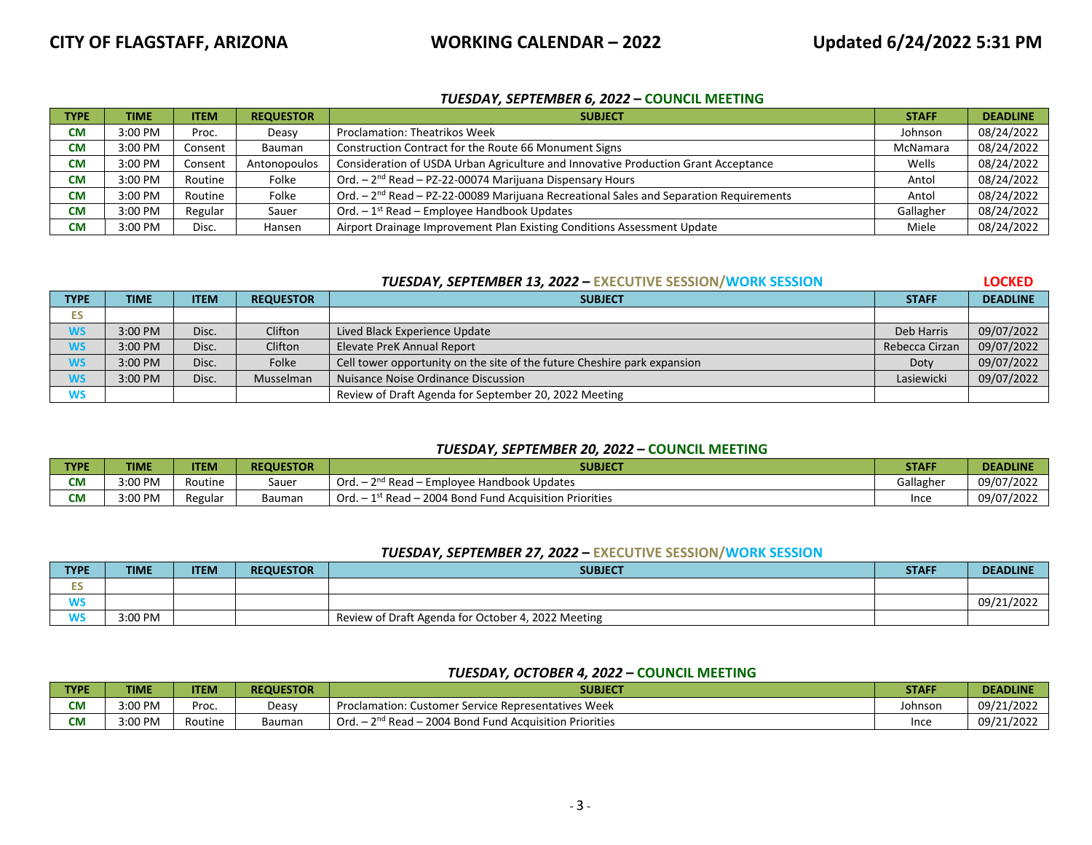## *TUESDAY, SEPTEMBER 6, 2022* **– COUNCIL MEETING**

| <b>TYPE</b> | <b>TIME</b> | <b>ITEM</b> | <b>REQUESTOR</b> | <b>SUBJECT</b>                                                                            | <b>STAFF</b> | <b>DEADLINE</b> |
|-------------|-------------|-------------|------------------|-------------------------------------------------------------------------------------------|--------------|-----------------|
| <b>CM</b>   | $3:00$ PM   | Proc.       | Deasy            | <b>Proclamation: Theatrikos Week</b>                                                      | Johnson      | 08/24/2022      |
| <b>CM</b>   | $3:00$ PM   | Consent     | Bauman           | Construction Contract for the Route 66 Monument Signs                                     | McNamara     | 08/24/2022      |
| <b>CM</b>   | 3:00 PM     | Consent     | Antonopoulos     | Consideration of USDA Urban Agriculture and Innovative Production Grant Acceptance        | Wells        | 08/24/2022      |
| <b>CM</b>   | $3:00$ PM   | Routine     | Folke            | Ord. $-2nd$ Read $-$ PZ-22-00074 Marijuana Dispensary Hours                               | Antol        | 08/24/2022      |
| <b>CM</b>   | 3:00 PM     | Routine     | Folke            | Ord. $-2nd$ Read $-$ PZ-22-00089 Marijuana Recreational Sales and Separation Requirements | Antol        | 08/24/2022      |
| <b>CM</b>   | 3:00 PM     | Regular     | Sauer            | Ord. $-1^{st}$ Read – Employee Handbook Updates                                           | Gallagher    | 08/24/2022      |
| <b>CM</b>   | 3:00 PM     | Disc.       | Hansen           | Airport Drainage Improvement Plan Existing Conditions Assessment Update                   | Miele        | 08/24/2022      |

## *TUESDAY, SEPTEMBER 13, 2022*  **– EXECUTIVE SESSION/WORK SESSION LOCKED**

| <b>TYPE</b> | <b>TIME</b> | <b>ITEM</b> | <b>REQUESTOR</b> | <b>SUBJECT</b>                                                           | <b>STAFF</b>   | <b>DEADLINE</b> |
|-------------|-------------|-------------|------------------|--------------------------------------------------------------------------|----------------|-----------------|
| ES.         |             |             |                  |                                                                          |                |                 |
| <b>WS</b>   | $3:00$ PM   | Disc.       | Clifton          | Lived Black Experience Update                                            | Deb Harris     | 09/07/2022      |
| <b>WS</b>   | 3:00 PM     | Disc.       | Clifton          | Elevate PreK Annual Report                                               | Rebecca Cirzan | 09/07/2022      |
| <b>WS</b>   | 3:00 PM     | Disc.       | Folke            | Cell tower opportunity on the site of the future Cheshire park expansion | Doty           | 09/07/2022      |
| <b>WS</b>   | 3:00 PM     | Disc.       | Musselman        | Nuisance Noise Ordinance Discussion                                      | Lasiewicki     | 09/07/2022      |
| <b>WS</b>   |             |             |                  | Review of Draft Agenda for September 20, 2022 Meeting                    |                |                 |

## *TUESDAY, SEPTEMBER 20, 2022* **– COUNCIL MEETING**

| TYPE      | <b>TIME</b> | <b>ITEM</b> | <b>REQUESTOR</b> | <b>SUBJECT</b>                                                              | <b>STAFF</b>     | <b>DEADLINE</b> |
|-----------|-------------|-------------|------------------|-----------------------------------------------------------------------------|------------------|-----------------|
| <b>CM</b> | 3:00 PM     | Routine     | Sauer            | ond r<br><b>Employee Handbook Updates</b><br>Ord.<br>Read                   | Gallagher        | 09/07/2022      |
| <b>CM</b> | 3:00 PM     | Regular     | Bauman           | - 2004 Bond Fund Acquisition Priorities<br><sup>1st</sup> Read – ∠J<br>Ord. | <sup>I</sup> nce | 09/07/2022      |

## *TUESDAY, SEPTEMBER 27, 2022*  **– EXECUTIVE SESSION/WORK SESSION**

| <b>TYPE</b> | <b>TIME</b> | <b>ITEM</b> | <b>REQUESTOR</b> | <b>SUBJECT</b>                                     | <b>STAFF</b> | <b>DEADLINE</b> |
|-------------|-------------|-------------|------------------|----------------------------------------------------|--------------|-----------------|
|             |             |             |                  |                                                    |              |                 |
| WS          |             |             |                  |                                                    |              | 09/21/2022      |
| <b>WS</b>   | 3:00 PM     |             |                  | Review of Draft Agenda for October 4, 2022 Meeting |              |                 |

## *TUESDAY, OCTOBER 4, 2022* **– COUNCIL MEETING**

| <b>TYPE</b> | <b>TIML</b> | <b>ITEM</b> | <b>REQUESTOR</b> | <b>SUBJECT</b>                                                         | <b>STAFF</b> | <b>DEADLINE</b> |
|-------------|-------------|-------------|------------------|------------------------------------------------------------------------|--------------|-----------------|
| <b>CM</b>   | 3:00 PM     | Proc.       | Deasy            | r Service Representatives Week<br>Proclamation: C<br>Customer          | Johnson      | 09/21/2022      |
| <b>CM</b>   | 3:00 PM     | Routine     | Bauman           | $\sim$ nd r<br>- 2004 Bond Fund Acquisition Priorities<br>Ord.<br>Read | Ince         | 09/21/2022      |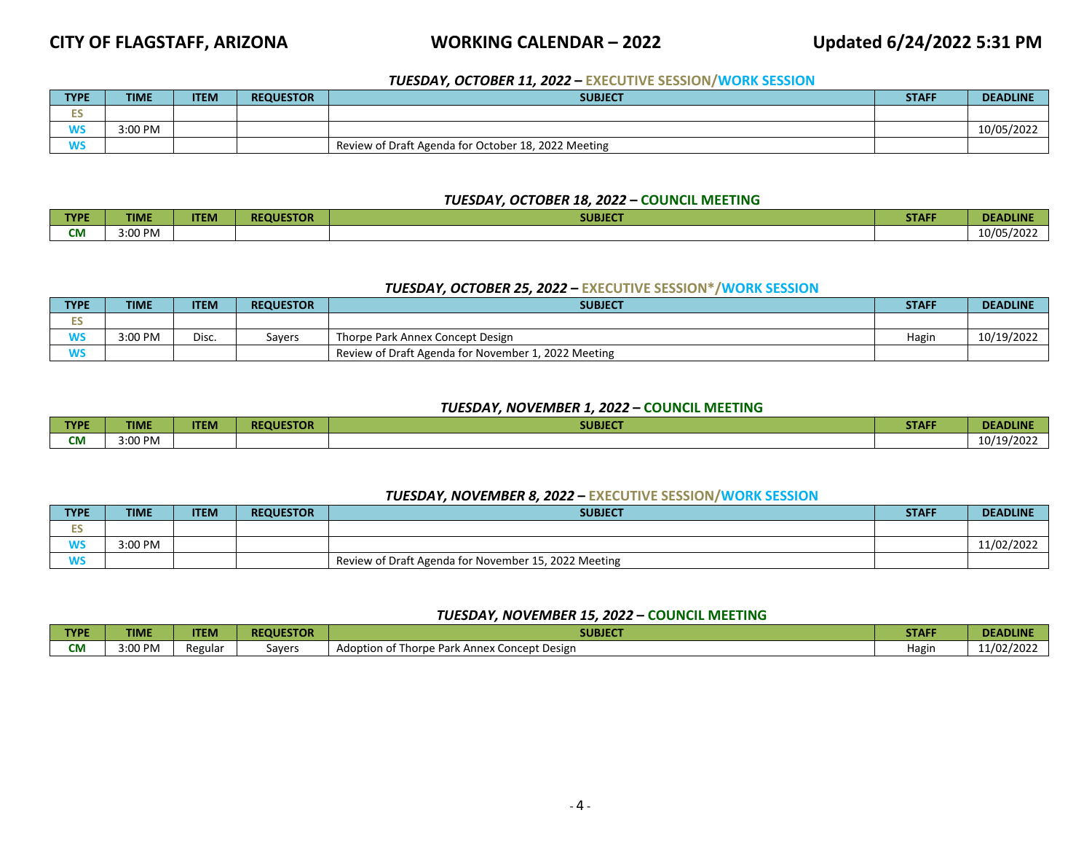## **CITY OF FLAGSTAFF, ARIZONA WORKING CALENDAR – 2022 Updated 6/24/2022 5:31 PM**

## *TUESDAY, OCTOBER 11, 2022*  **– EXECUTIVE SESSION/WORK SESSION**

| <b>TYPE</b> | <b>TIME</b> | <b>ITEM</b> | <b>REQUESTOR</b> | <b>SUBJECT</b>                                      | <b>STAFF</b> | <b>DEADLINE</b> |
|-------------|-------------|-------------|------------------|-----------------------------------------------------|--------------|-----------------|
| ∽           |             |             |                  |                                                     |              |                 |
| WC<br>rv 3  | 3:00 PM     |             |                  |                                                     |              | 10/05/2022      |
| <b>WS</b>   |             |             |                  | Review of Draft Agenda for October 18, 2022 Meeting |              |                 |

### *TUESDAY, OCTOBER 18, 2022* **– COUNCIL MEETING**

| <b>TYPE</b> | <b>TIME</b> | <b>ITEM</b> | <b>REQUESTOR</b> | <b>SUBJECT</b> | <b>STAFF</b> | <b><i><u>PART AT</u></i></b><br><b>JLINE</b><br>ULAU. |
|-------------|-------------|-------------|------------------|----------------|--------------|-------------------------------------------------------|
| <b>CM</b>   | 3:00 PM     |             |                  |                |              | 10/05/2022                                            |

### *TUESDAY, OCTOBER 25, 2022*  **– EXECUTIVE SESSION\*/WORK SESSION**

| <b>TYPE</b>       | <b>TIME</b> | <b>ITEM</b> | <b>REQUESTOR</b> | <b>SUBJECT</b>                                      | <b>STAFF</b> | <b>DEADLINE</b> |
|-------------------|-------------|-------------|------------------|-----------------------------------------------------|--------------|-----------------|
| --<br>∽           |             |             |                  |                                                     |              |                 |
| <b>AIC</b><br>JVJ | 3:00 PM     | Disc.       | Savers           | Thorpe Park Annex Concept Design                    | Hagin        | 10/19/2022      |
|                   |             |             |                  | Review of Draft Agenda for November 1, 2022 Meeting |              |                 |

## *TUESDAY, NOVEMBER 1, 2022* **– COUNCIL MEETING**

| <b>TYPE</b>      | TIME    | <b>ITEM</b> | <b>REQUESTOR</b> | <b>SUBJECT</b> | CHAPT.<br>SIAN. | <b>DEADLINE</b>                             |
|------------------|---------|-------------|------------------|----------------|-----------------|---------------------------------------------|
| ---<br><b>CM</b> | 3:00 PM |             |                  |                |                 | .<br>10/<br>10.<br>$\overline{\phantom{a}}$ |

### *TUESDAY, NOVEMBER 8, 2022*  **– EXECUTIVE SESSION/WORK SESSION**

| <b>TYPE</b> | <b>TIME</b> | <b>ITEM</b> | <b>REQUESTOR</b> | <b>SUBJECT</b>                                       | <b>STAFF</b> | <b>DEADLINE</b> |
|-------------|-------------|-------------|------------------|------------------------------------------------------|--------------|-----------------|
| EС<br>--    |             |             |                  |                                                      |              |                 |
| <b>WS</b>   | 3:00 PM     |             |                  |                                                      |              | 11/02/2022      |
| <b>WS</b>   |             |             |                  | Review of Draft Agenda for November 15, 2022 Meeting |              |                 |

## *TUESDAY, NOVEMBER 15, 2022* **– COUNCIL MEETING**

| <b>TYPE</b> | <b>TIME</b> | <b>TEM</b> | <b>REQUESTOR</b> | <b>SUBJECT</b>                                        | <b>STAFF</b> | <b>DEADLINE</b> |
|-------------|-------------|------------|------------------|-------------------------------------------------------|--------------|-----------------|
| см          | 3:00 PM     | Regulai    | Savers           | . Concept Design<br>Adoption of Thorpe Par<br>. Anney | Hagir        | 1/02/202        |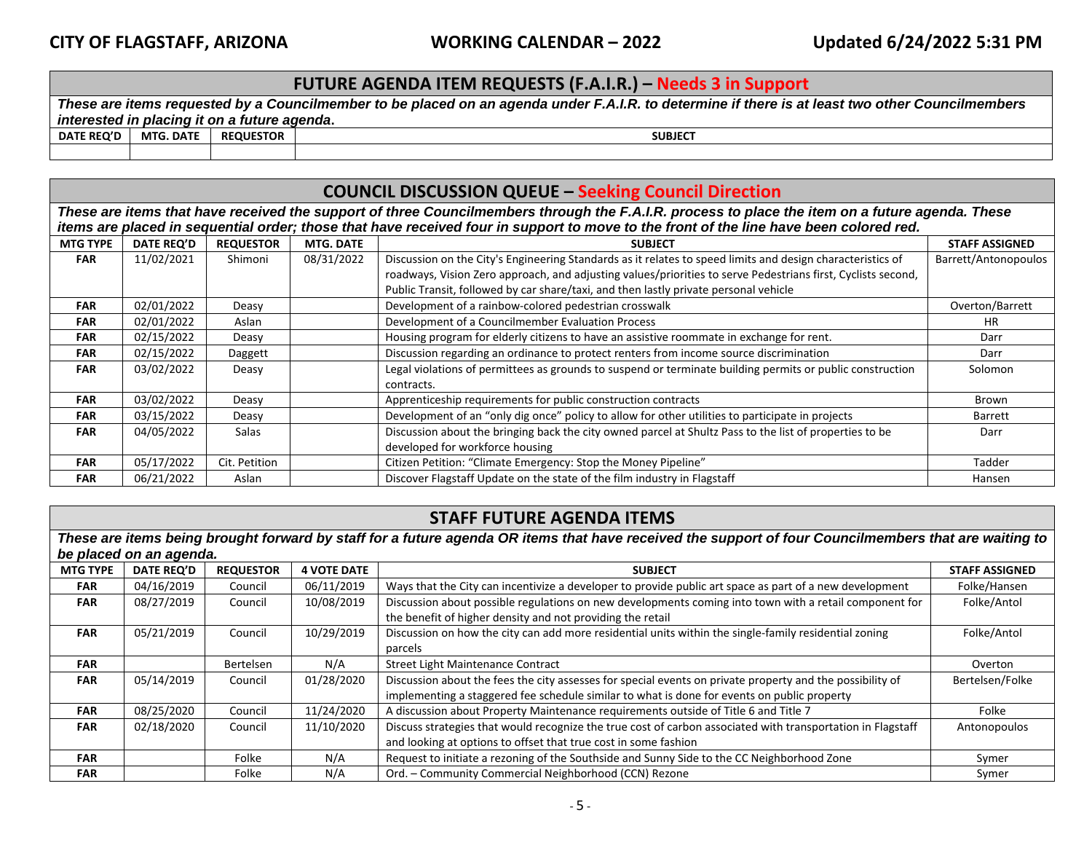## **FUTURE AGENDA ITEM REQUESTS (F.A.I.R.) – Needs 3 in Support**

| These are items requested by a Councilmember to be placed on an agenda under F.A.I.R. to determine if there is at least two other Councilmembers |                                              |                  |                |  |  |  |  |  |  |
|--------------------------------------------------------------------------------------------------------------------------------------------------|----------------------------------------------|------------------|----------------|--|--|--|--|--|--|
|                                                                                                                                                  | interested in placing it on a future agenda. |                  |                |  |  |  |  |  |  |
| DATE REQ'D                                                                                                                                       | MTG. DATE                                    | <b>REQUESTOR</b> | <b>SUBJECT</b> |  |  |  |  |  |  |
|                                                                                                                                                  |                                              |                  |                |  |  |  |  |  |  |

|                 | <b>COUNCIL DISCUSSION QUEUE - Seeking Council Direction</b>                                                                                                                                                                                                                               |                  |                  |                                                                                                              |                       |  |  |  |  |  |
|-----------------|-------------------------------------------------------------------------------------------------------------------------------------------------------------------------------------------------------------------------------------------------------------------------------------------|------------------|------------------|--------------------------------------------------------------------------------------------------------------|-----------------------|--|--|--|--|--|
|                 | These are items that have received the support of three Councilmembers through the F.A.I.R. process to place the item on a future agenda. These<br>items are placed in sequential order; those that have received four in support to move to the front of the line have been colored red. |                  |                  |                                                                                                              |                       |  |  |  |  |  |
|                 |                                                                                                                                                                                                                                                                                           |                  |                  |                                                                                                              |                       |  |  |  |  |  |
| <b>MTG TYPE</b> | <b>DATE REQ'D</b>                                                                                                                                                                                                                                                                         | <b>REQUESTOR</b> | <b>MTG. DATE</b> | <b>SUBJECT</b>                                                                                               | <b>STAFF ASSIGNED</b> |  |  |  |  |  |
| <b>FAR</b>      | 11/02/2021                                                                                                                                                                                                                                                                                | Shimoni          | 08/31/2022       | Discussion on the City's Engineering Standards as it relates to speed limits and design characteristics of   | Barrett/Antonopoulos  |  |  |  |  |  |
|                 |                                                                                                                                                                                                                                                                                           |                  |                  | roadways, Vision Zero approach, and adjusting values/priorities to serve Pedestrians first, Cyclists second, |                       |  |  |  |  |  |
|                 |                                                                                                                                                                                                                                                                                           |                  |                  | Public Transit, followed by car share/taxi, and then lastly private personal vehicle                         |                       |  |  |  |  |  |
| <b>FAR</b>      | 02/01/2022                                                                                                                                                                                                                                                                                | Deasy            |                  | Development of a rainbow-colored pedestrian crosswalk                                                        | Overton/Barrett       |  |  |  |  |  |
| <b>FAR</b>      | 02/01/2022                                                                                                                                                                                                                                                                                | Aslan            |                  | Development of a Councilmember Evaluation Process                                                            | <b>HR</b>             |  |  |  |  |  |
| <b>FAR</b>      | 02/15/2022                                                                                                                                                                                                                                                                                | Deasy            |                  | Housing program for elderly citizens to have an assistive roommate in exchange for rent.                     | Darr                  |  |  |  |  |  |
| <b>FAR</b>      | 02/15/2022                                                                                                                                                                                                                                                                                | Daggett          |                  | Discussion regarding an ordinance to protect renters from income source discrimination                       | Darr                  |  |  |  |  |  |
| <b>FAR</b>      | 03/02/2022                                                                                                                                                                                                                                                                                | Deasy            |                  | Legal violations of permittees as grounds to suspend or terminate building permits or public construction    | Solomon               |  |  |  |  |  |
|                 |                                                                                                                                                                                                                                                                                           |                  |                  | contracts.                                                                                                   |                       |  |  |  |  |  |
| <b>FAR</b>      | 03/02/2022                                                                                                                                                                                                                                                                                | Deasy            |                  | Apprenticeship requirements for public construction contracts                                                | Brown                 |  |  |  |  |  |
| <b>FAR</b>      | 03/15/2022                                                                                                                                                                                                                                                                                | Deasy            |                  | Development of an "only dig once" policy to allow for other utilities to participate in projects             | Barrett               |  |  |  |  |  |
| <b>FAR</b>      | 04/05/2022                                                                                                                                                                                                                                                                                | Salas            |                  | Discussion about the bringing back the city owned parcel at Shultz Pass to the list of properties to be      | Darr                  |  |  |  |  |  |
|                 |                                                                                                                                                                                                                                                                                           |                  |                  | developed for workforce housing                                                                              |                       |  |  |  |  |  |
| <b>FAR</b>      | 05/17/2022                                                                                                                                                                                                                                                                                | Cit. Petition    |                  | Citizen Petition: "Climate Emergency: Stop the Money Pipeline"                                               | Tadder                |  |  |  |  |  |
| <b>FAR</b>      | 06/21/2022                                                                                                                                                                                                                                                                                | Aslan            |                  | Discover Flagstaff Update on the state of the film industry in Flagstaff                                     | Hansen                |  |  |  |  |  |

## **STAFF FUTURE AGENDA ITEMS**

*These are items being brought forward by staff for a future agenda OR items that have received the support of four Councilmembers that are waiting to be placed on an agenda.* 

| <b>MTG TYPE</b> | <b>DATE REQ'D</b> | <b>REQUESTOR</b> | <b>4 VOTE DATE</b> | <b>SUBJECT</b>                                                                                                                                                                                           | <b>STAFF ASSIGNED</b> |
|-----------------|-------------------|------------------|--------------------|----------------------------------------------------------------------------------------------------------------------------------------------------------------------------------------------------------|-----------------------|
| <b>FAR</b>      | 04/16/2019        | Council          | 06/11/2019         | Ways that the City can incentivize a developer to provide public art space as part of a new development                                                                                                  | Folke/Hansen          |
| <b>FAR</b>      | 08/27/2019        | Council          | 10/08/2019         | Discussion about possible regulations on new developments coming into town with a retail component for<br>the benefit of higher density and not providing the retail                                     | Folke/Antol           |
| <b>FAR</b>      | 05/21/2019        | Council          | 10/29/2019         | Discussion on how the city can add more residential units within the single-family residential zoning<br>parcels                                                                                         | Folke/Antol           |
| <b>FAR</b>      |                   | Bertelsen        | N/A                | Street Light Maintenance Contract                                                                                                                                                                        | Overton               |
| <b>FAR</b>      | 05/14/2019        | Council          | 01/28/2020         | Discussion about the fees the city assesses for special events on private property and the possibility of<br>implementing a staggered fee schedule similar to what is done for events on public property | Bertelsen/Folke       |
| <b>FAR</b>      | 08/25/2020        | Council          | 11/24/2020         | A discussion about Property Maintenance requirements outside of Title 6 and Title 7                                                                                                                      | Folke                 |
| <b>FAR</b>      | 02/18/2020        | Council          | 11/10/2020         | Discuss strategies that would recognize the true cost of carbon associated with transportation in Flagstaff<br>and looking at options to offset that true cost in some fashion                           | Antonopoulos          |
| <b>FAR</b>      |                   | Folke            | N/A                | Request to initiate a rezoning of the Southside and Sunny Side to the CC Neighborhood Zone                                                                                                               | Symer                 |
| <b>FAR</b>      |                   | Folke            | N/A                | Ord. - Community Commercial Neighborhood (CCN) Rezone                                                                                                                                                    | Symer                 |